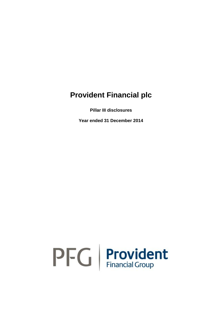**Pillar III disclosures**

**Year ended 31 December 2014**

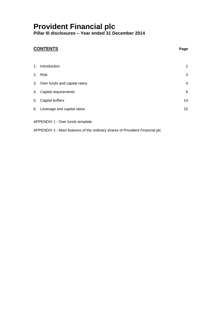**Pillar III disclosures – Year ended 31 December 2014**

### **CONTENTS Page**

| 1. Introduction                 | 1  |
|---------------------------------|----|
| 2. Risk                         | 3  |
| 3. Own funds and capital ratios | 4  |
| 4. Capital requirements         | 6  |
| 5. Capital buffers              | 14 |
| 6. Leverage and capital ratios  | 15 |
|                                 |    |

APPENDIX 1 - Own funds template

APPENDIX 2 - Main features of the ordinary shares of Provident Financial plc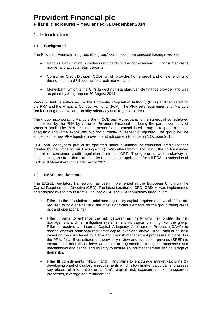**Pillar III disclosures – Year ended 31 December 2014**

### **1. Introduction**

#### **1.1 Background**

The Provident Financial plc group (the group) comprises three principal trading divisions:

- Vanquis Bank, which provides credit cards to the non-standard UK consumer credit market and accepts retail deposits;
- Consumer Credit Division (CCD), which provides home credit and online lending to the non-standard UK consumer credit market; and
- Moneybarn, which is the UK's largest non-standard vehicle finance provider and was acquired by the group on 20 August 2014.

Vanquis Bank is authorised by the Prudential Regulation Authority (PRA) and regulated by the PRA and the Financial Conduct Authority (FCA). The PRA sets requirements for Vanquis Bank relating to capital and liquidity adequacy and large exposures.

The group, incorporating Vanquis Bank, CCD and Moneybarn, is the subject of consolidated supervision by the PRA by virtue of Provident Financial plc being the parent company of Vanquis Bank. The PRA sets requirements for the consolidated group in respect of capital adequacy and large exposures but not currently in respect of liquidity. The group will be subject to the new PRA liquidity provisions which come into force on 1 October 2015.

CCD and Moneybarn previously operated under a number of consumer credit licences granted by the Office of Fair Trading (OFT). With effect from 1 April 2014, the FCA assumed control of consumer credit regulation from the OFT. The group is well underway in implementing the transition plan in order to submit the application for full FCA authorisation of CCD and Moneybarn in the first half of 2015.

#### **1.2 BASEL requirements**

The BASEL regulatory framework has been implemented in the European Union via the Capital Requirements Directive (CRD). The latest iteration of CRD, CRD IV, was implemented and adopted by the group from 1 January 2014. The CRD comprises three Pillars:

- Pillar I is the calculation of minimum regulatory capital requirements which firms are required to hold against risk, the most significant elements for the group being credit risk and operational risk.
- Pillar II aims to enhance the link between an institution's risk profile, its risk management and risk mitigation systems, and its capital planning. For the group, Pillar II requires an Internal Capital Adequacy Assessment Process (ICAAP) to assess whether additional regulatory capital over and above Pillar I should be held based on the risks faced by a firm and the risk management processes in place. For the PRA, Pillar II constitutes a supervisory review and evaluation process (SREP) to ensure that institutions have adequate arrangements, strategies, processes and mechanisms and capital and liquidity to ensure sound management and coverage of their risks.
- Pillar III complements Pillars I and II and aims to encourage market discipline by developing a set of disclosure requirements which allow market participants to assess key pieces of information on a firm's capital, risk exposures, risk management processes, leverage and remuneration.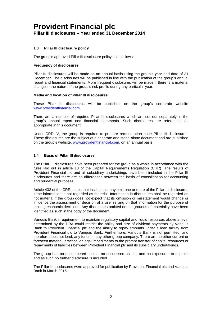#### **1.3 Pillar III disclosure policy**

The group's approved Pillar III disclosure policy is as follows:

#### **Frequency of disclosures**

Pillar III disclosures will be made on an annual basis using the group's year end date of 31 December. The disclosures will be published in line with the publication of the group's annual report and financial statements. More frequent disclosures will be made if there is a material change in the nature of the group's risk profile during any particular year.

#### **Media and location of Pillar III disclosures**

These Pillar III disclosures will be published on the group's corporate website [www.providentfinancial.com.](http://www.providentfinancial.com/)

There are a number of required Pillar III disclosures which are set out separately in the group's annual report and financial statements. Such disclosures are referenced as appropriate in this document.

Under CRD IV, the group is required to prepare remuneration code Pillar III disclosures. These disclosures are the subject of a separate and stand-alone document and are published on the group's website, [www.providentfinancial.com,](file://HOSFATEH/PFData$/FINANCE/FSA/Pillar%20III/2015/www.providentfinancial.com) on an annual basis.

#### **1.4 Basis of Pillar III disclosures**

The Pillar III disclosures have been prepared for the group as a whole in accordance with the rules laid out in article 13 of the Capital Requirements Regulation (CRR). The results of Provident Financial plc and all subsidiary undertakings have been included in the Pillar III disclosures and there are no differences between the basis of consolidation for accounting and prudential purposes.

Article 432 of the CRR states that institutions may omit one or more of the Pillar III disclosures if the information is not regarded as material. Information in disclosures shall be regarded as not material if the group does not expect that its omission or misstatement would change or influence the assessment or decision of a user relying on that information for the purpose of making economic decisions. Any disclosures omitted on the grounds of materiality have been identified as such in the body of the document.

Vanquis Bank's requirement to maintain regulatory capital and liquid resources above a level determined by the PRA could restrict the ability and size of dividend payments by Vanquis Bank to Provident Financial plc and the ability to repay amounts under a loan facility from Provident Financial plc to Vanquis Bank. Furthermore, Vanquis Bank is not permitted, and therefore does not lend, any funds to any other group company. There are no other current or foreseen material, practical or legal impediments to the prompt transfer of capital resources or repayments of liabilities between Provident Financial plc and its subsidiary undertakings.

The group has no encumbered assets, no securitised assets, and no exposures to equities and as such no further disclosure is included.

The Pillar III disclosures were approved for publication by Provident Financial plc and Vanquis Bank in March 2015.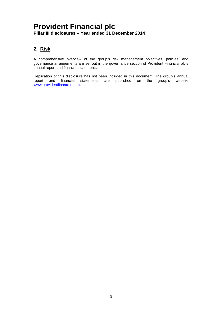### **2. Risk**

A comprehensive overview of the group's risk management objectives, policies, and governance arrangements are set out in the governance section of Provident Financial plc's annual report and financial statements.

Replication of this disclosure has not been included in this document. The group's annual report and financial statements are published on the group's website [www.providentfinancial.com.](http://www.providentfinancial.com/)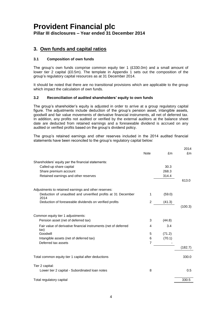**Pillar III disclosures – Year ended 31 December 2014**

### **3. Own funds and capital ratios**

#### **3.1 Composition of own funds**

The group's own funds comprise common equity tier 1 (£330.0m) and a small amount of lower tier 2 capital (£0.5m). The template in Appendix 1 sets out the composition of the group's regulatory capital resources as at 31 December 2014.

It should be noted that there are no transitional provisions which are applicable to the group which impact the calculation of own funds.

#### **3.2 Reconciliation of audited shareholders' equity to own funds**

The group's shareholder's equity is adjusted in order to arrive at a group regulatory capital figure. The adjustments include deduction of the group's pension asset, intangible assets, goodwill and fair value movements of derivative financial instruments, all net of deferred tax. In addition, any profits not audited or verified by the external auditors at the balance sheet date are deducted from retained earnings and a foreseeable dividend is accrued on any audited or verified profits based on the group's dividend policy.

The group's retained earnings and other reserves included in the 2014 audited financial statements have been reconciled to the group's regulatory capital below:

 $2011$ 

|                                                                         |                |        | ZU 14   |
|-------------------------------------------------------------------------|----------------|--------|---------|
|                                                                         | <b>Note</b>    | £m     | £m      |
| Shareholders' equity per the financial statements:                      |                |        |         |
| Called-up share capital                                                 |                | 30.3   |         |
| Share premium account                                                   |                | 268.3  |         |
| Retained earnings and other reserves                                    |                | 314.4  |         |
|                                                                         |                |        | 613.0   |
| Adjustments to retained earnings and other reserves:                    |                |        |         |
| Deduction of unaudited and unverified profits at 31 December<br>2014    | 1              | (59.0) |         |
| Deduction of foreseeable dividends on verified profits                  | $\overline{2}$ | (41.3) |         |
|                                                                         |                |        | (100.3) |
| Common equity tier 1 adjustments:                                       |                |        |         |
| Pension asset (net of deferred tax)                                     | 3              | (44.8) |         |
| Fair value of derivative financial instruments (net of deferred<br>tax) | 4              | 3.4    |         |
| Goodwill                                                                | 5              | (71.2) |         |
| Intangible assets (net of deferred tax)                                 | 6              | (70.1) |         |
| Deferred tax assets                                                     | $\overline{7}$ |        |         |
|                                                                         |                |        | (182.7) |
| Total common equity tier 1 capital after deductions                     |                |        | 330.0   |
|                                                                         |                |        |         |
| Tier 2 capital:<br>Lower tier 2 capital - Subordinated loan notes       | 8              |        | 0.5     |
|                                                                         |                |        |         |
| Total regulatory capital                                                |                |        | 330.5   |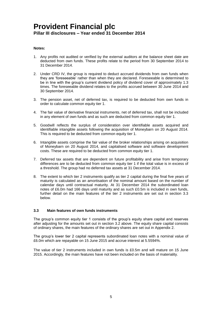#### **Notes:**

- 1. Any profits not audited or verified by the external auditors at the balance sheet date are deducted from own funds. These profits relate to the period from 30 September 2014 to 31 December 2014.
- 2. Under CRD IV, the group is required to deduct accrued dividends from own funds when they are 'foreseeable' rather than when they are declared. Foreseeable is determined to be in line with the group's current dividend policy of dividend cover of approximately 1.3 times. The foreseeable dividend relates to the profits accrued between 30 June 2014 and 30 September 2014.
- 3. The pension asset, net of deferred tax, is required to be deducted from own funds in order to calculate common equity tier 1.
- 4. The fair value of derivative financial instruments, net of deferred tax, shall not be included in any element of own funds and as such are deducted from common equity tier 1.
- 5. Goodwill reflects the surplus of consideration over identifiable assets acquired and identifiable intangible assets following the acquisition of Moneybarn on 20 August 2014. This is required to be deducted from common equity tier 1.
- 6. Intangible assets comprise the fair value of the broker relationships arising on acquisition of Moneybarn on 20 August 2014, and capitalised software and software development costs. These are required to be deducted from common equity tier 1.
- 7. Deferred tax assets that are dependent on future profitability and arise from temporary differences are to be deducted from common equity tier 1 if the total value is in excess of a threshold. The group had no deferred tax assets at 31 December 2014.
- 8. The extent to which tier 2 instruments qualify as tier 2 capital during the final five years of maturity is calculated as an amortisation of the nominal amount based on the number of calendar days until contractual maturity. At 31 December 2014 the subordinated loan notes of £6.0m had 166 days until maturity and as such £0.5m is included in own funds, further detail on the main features of the tier 2 instruments are set out in section 3.3 below.

#### **3.3 Main features of own funds instruments**

The group's common equity tier 1 consists of the group's equity share capital and reserves after adjusting for the amounts set out in section 3.2 above. The equity share capital consists of ordinary shares, the main features of the ordinary shares are set out in Appendix 2.

The group's lower tier 2 capital represents subordinated loan notes with a nominal value of £6.0m which are repayable on 15 June 2015 and accrue interest at 5.5594%.

The value of tier 2 instruments included in own funds is £0.5m and will mature on 15 June 2015. Accordingly, the main features have not been included on the basis of materiality.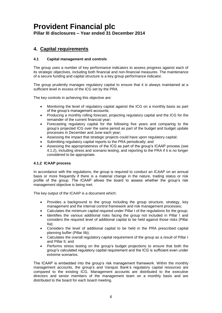**Pillar III disclosures – Year ended 31 December 2014**

### **4. Capital requirements**

#### **4.1 Capital management and controls**

The group uses a number of key performance indicators to assess progress against each of its strategic objectives, including both financial and non-financial measures. The maintenance of a secure funding and capital structure is a key group performance indicator.

The group prudently manages regulatory capital to ensure that it is always maintained at a sufficient level in excess of the ICG set by the PRA.

The key controls in achieving this objective are:

- Monitoring the level of regulatory capital against the ICG on a monthly basis as part of the group's management accounts;
- Producing a monthly rolling forecast, projecting regulatory capital and the ICG for the remainder of the current financial year;
- Forecasting regulatory capital for the following five years and comparing to the group's projected ICG over the same period as part of the budget and budget update processes in December and June each year;
- Assessing the impact that strategic projects could have upon regulatory capital;
- Submitting regulatory capital reports to the PRA periodically; and
- Assessing the appropriateness of the ICG as part of the group's ICAAP process (see 4.1.2), including stress and scenario testing, and reporting to the PRA if it is no longer considered to be appropriate.

#### **4.1.2 ICAAP process**

In accordance with the regulations, the group is required to conduct an ICAAP on an annual basis or more frequently if there is a material change in the nature, trading status or risk profile of the group. The ICAAP allows the board to assess whether the group's risk management objective is being met.

The key output of the ICAAP is a document which:

- Provides a background to the group including the group structure, strategy, key management and the internal control framework and risk management processes;
- Calculates the minimum capital required under Pillar I of the regulations for the group;
- Identifies the various additional risks facing the group not included in Pillar I and considers the required level of additional capital to be held against those risks (Pillar IIa);
- Considers the level of additional capital to be held in the PRA prescribed capital planning buffer (Pillar IIb);
- Calculates the overall regulatory capital requirement of the group as a result of Pillar I and Pillar II; and
- Performs stress testing on the group's budget projections to ensure that both the group's calculated regulatory capital requirement and the ICG is sufficient even under extreme scenarios.

The ICAAP is embedded into the group's risk management framework. Within the monthly management accounts, the group's and Vanquis Bank's regulatory capital resources are compared to the existing ICG. Management accounts are distributed to the executive directors and senior members of the management team on a monthly basis and are distributed to the board for each board meeting.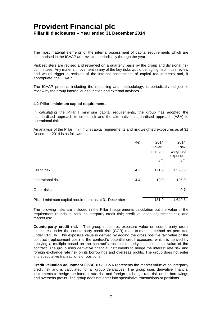The most material elements of the internal assessment of capital requirements which are summarised in the ICAAP are revisited periodically through the year.

Risk registers are revised and reviewed on a quarterly basis by the group and divisional risk committees. Any material movement in any of the key risks would be highlighted in this review and would trigger a revision of the internal assessment of capital requirements and, if appropriate, the ICAAP.

The ICAAP process, including the modelling and methodology, is periodically subject to review by the group internal audit function and external advisors.

#### **4.2 Pillar I minimum capital requirements**

In calculating the Pillar I minimum capital requirements, the group has adopted the standardised approach to credit risk and the alternative standardised approach (ASA) to operational risk.

An analysis of the Pillar I minimum capital requirements and risk weighted exposures as at 31 December 2014 is as follows:

|                                                        | Ref | 2014     | 2014        |
|--------------------------------------------------------|-----|----------|-------------|
|                                                        |     | Pillar I | <b>Risk</b> |
|                                                        |     | minimum  | weighted    |
|                                                        |     |          | exposure    |
|                                                        |     | £m       | £m          |
| Credit risk                                            | 4.3 | 121.9    | 1,523.6     |
|                                                        |     |          |             |
| Operational risk                                       | 4.4 | 10.0     | 125.0       |
|                                                        |     |          |             |
| Other risks                                            |     | ۰        | 0.7         |
|                                                        |     |          |             |
| Pillar I minimum capital requirement as at 31 December |     | 131.9    | 1,649.3     |

The following risks are included in the Pillar I requirements calculation but the value of the requirement rounds to zero: counterparty credit risk; credit valuation adjustment risk; and market risk.

**Counterparty credit risk** - The group measures exposure value on counterparty credit exposures under the counterparty credit risk (CCR) mark-to-market method as permitted under CRD IV. This exposure value is derived by adding the gross positive fair value of the contract (replacement cost) to the contract's potential credit exposure, which is derived by applying a multiple based on the contract's residual maturity to the notional value of the contract. The group uses derivative financial instruments to hedge the interest rate risk and foreign exchange rate risk on its borrowings and overseas profits. The group does not enter into speculative transactions or positions.

**Credit valuation adjustment (CVA) risk** - CVA represents the market value of counterparty credit risk and is calculated for all group derivatives. The group uses derivative financial instruments to hedge the interest rate risk and foreign exchange rate risk on its borrowings and overseas profits. The group does not enter into speculative transactions or positions.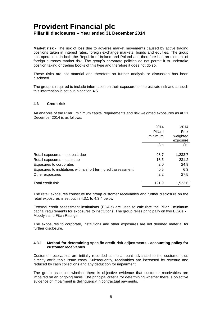**Market risk** - The risk of loss due to adverse market movements caused by active trading positions taken in interest rates, foreign exchange markets, bonds and equities. The group has operations in both the Republic of Ireland and Poland and therefore has an element of foreign currency market risk. The group's corporate policies do not permit it to undertake position taking or trading books of this type and therefore it does not do so.

These risks are not material and therefore no further analysis or discussion has been disclosed.

The group is required to include information on their exposure to interest rate risk and as such this information is set out in section 4.5.

#### **4.3 Credit risk**

An analysis of the Pillar I minimum capital requirements and risk weighted exposures as at 31 December 2014 is as follows:

|                                                               | 2014<br>Pillar I<br>minimum | 2014<br><b>Risk</b><br>weighted<br>exposure |
|---------------------------------------------------------------|-----------------------------|---------------------------------------------|
|                                                               | £m                          | £m                                          |
| Retail exposures – not past due                               | 98.7                        | 1,233.7                                     |
| Retail exposures - past due                                   | 18.5                        | 231.2                                       |
| Exposures to corporates                                       | 2.0                         | 24.9                                        |
| Exposures to institutions with a short term credit assessment | 0.5                         | 6.3                                         |
| Other exposures                                               | 2.2                         | 27.5                                        |
| Total credit risk                                             | 121.9                       | 1,523.6                                     |

The retail exposures constitute the group customer receivables and further disclosure on the retail exposures is set out in 4.3.1 to 4.3.4 below.

External credit assessment institutions (ECAIs) are used to calculate the Pillar I minimum capital requirements for exposures to institutions. The group relies principally on two ECAIs - Moody's and Fitch Ratings.

The exposures to corporate, institutions and other exposures are not deemed material for further disclosure.

#### **4.3.1 Method for determining specific credit risk adjustments - accounting policy for customer receivables**

Customer receivables are initially recorded at the amount advanced to the customer plus directly attributable issue costs. Subsequently, receivables are increased by revenue and reduced by cash collections and any deduction for impairment.

The group assesses whether there is objective evidence that customer receivables are impaired on an ongoing basis. The principal criteria for determining whether there is objective evidence of impairment is delinquency in contractual payments.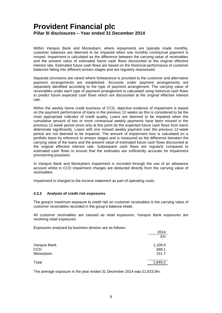Within Vanquis Bank and Moneybarn, where repayments are typically made monthly, customer balances are deemed to be impaired when one monthly contractual payment is missed. Impairment is calculated as the difference between the carrying value of receivables and the present value of estimated future cash flows discounted at the original effective interest rate. Estimated future cash flows are based on the historical performance of customer balances falling into different arrears stages and are regularly reassessed.

Separate provisions are raised where forbearance is provided to the customer and alternative payment arrangements are established. Accounts under payment arrangements are separately identified according to the type of payment arrangement. The carrying value of receivables under each type of payment arrangement is calculated using historical cash flows to predict future expected cash flows which are discounted at the original effective interest rate.

Within the weekly home credit business of CCD, objective evidence of impairment is based on the payment performance of loans in the previous 12 weeks as this is considered to be the most appropriate indicator of credit quality. Loans are deemed to be impaired when the cumulative amount of two or more contractual weekly payments have been missed in the previous 12-week period since only at this point do the expected future cash flows from loans deteriorate significantly. Loans with one missed weekly payment over the previous 12-week period are not deemed to be impaired. The amount of impairment loss is calculated on a portfolio basis by reference to arrears stages and is measured as the difference between the carrying value of the loans and the present value of estimated future cash flows discounted at the original effective interest rate. Subsequent cash flows are regularly compared to estimated cash flows to ensure that the estimates are sufficiently accurate for impairment provisioning purposes.

In Vanquis Bank and Moneybarn impairment is recorded through the use of an allowance account whilst in CCD impairment charges are deducted directly from the carrying value of receivables.

Impairment is charged to the income statement as part of operating costs.

#### **4.3.2 Analysis of credit risk exposures**

The group's maximum exposure to credit risk on customer receivables is the carrying value of customer receivables recorded in the group's balance sheet.

All customer receivables are classed as retail exposures. Vanquis Bank exposures are revolving retail exposures.

Exposures analysed by business division are as follows:

| $-$ , poom oo anan joog siyaamidoo an noron ah o ad romo nor | 2014<br>£m                |
|--------------------------------------------------------------|---------------------------|
| Vanquis Bank<br><b>CCD</b><br>Moneybarn                      | 1,109.4<br>588.1<br>151.7 |
| Total                                                        | 1,849.2                   |

The average exposure in the year ended 31 December 2014 was £1,623.9m.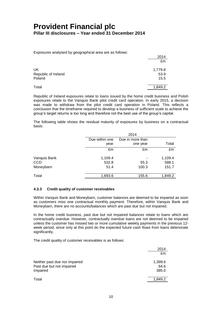Exposures analysed by geographical area are as follows:

| Exposered analysed by goographical area are as reliews. | 2014<br>£m              |
|---------------------------------------------------------|-------------------------|
| UK<br>Republic of Ireland<br>Poland                     | 1,779.8<br>53.9<br>15.5 |
| Total                                                   | 1,849.2                 |

Republic of Ireland exposures relate to loans issued by the home credit business and Polish exposures relate to the Vanquis Bank pilot credit card operation. In early 2015, a decision was made to withdraw from the pilot credit card operation in Poland. This reflects a conclusion that the timeframe required to develop a business of sufficient scale to achieve the group's target returns is too long and therefore not the best use of the group's capital.

The following table shows the residual maturity of exposures by business on a contractual basis:

|              | 2014           |                  |         |
|--------------|----------------|------------------|---------|
|              | Due within one | Due in more than |         |
|              | year           | one year         | Total   |
|              | £m             | £m               | £m      |
| Vanquis Bank | 1,109.4        |                  | 1,109.4 |
| <b>CCD</b>   | 532.8          | 55.3             | 588.1   |
| Moneybarn    | 51.4           | 100.3            | 151.7   |
| Total        | 1,693.6        | 155.6            | 1,849.2 |

#### **4.3.3 Credit quality of customer receivables**

Within Vanquis Bank and Moneybarn, customer balances are deemed to be impaired as soon as customers miss one contractual monthly payment. Therefore, within Vanquis Bank and Moneybarn, there are no accounts/balances which are past due but not impaired.

In the home credit business, past due but not impaired balances relate to loans which are contractually overdue. However, contractually overdue loans are not deemed to be impaired unless the customer has missed two or more cumulative weekly payments in the previous 12 week period, since only at this point do the expected future cash flows from loans deteriorate significantly.

The credit quality of customer receivables is as follows:

|                                                            | 2014<br>£m      |
|------------------------------------------------------------|-----------------|
|                                                            |                 |
| Neither past due nor impaired<br>Past due but not impaired | 1,399.6<br>64.6 |
| Impaired                                                   | 385.0           |
| Total                                                      | 1,849.2         |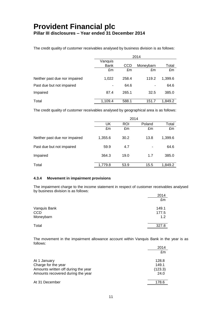The credit quality of customer receivables analysed by business division is as follows:

|                               | 2014                     |            |           |         |
|-------------------------------|--------------------------|------------|-----------|---------|
|                               | Vanquis                  |            |           |         |
|                               | <b>Bank</b>              | <b>CCD</b> | Moneybarn | Total   |
|                               | £m                       | £m         | £m        | £m      |
| Neither past due nor impaired | 1,022                    | 258.4      | 119.2     | 1,399.6 |
| Past due but not impaired     | $\overline{\phantom{a}}$ | 64.6       | ۰         | 64.6    |
| Impaired                      | 87.4                     | 265.1      | 32.5      | 385.0   |
| Total                         | 1,109.4                  | 588.1      | 151.7     | 1,849.2 |

The credit quality of customer receivables analysed by geographical area is as follows:

|                               |         | 2014       |        |         |
|-------------------------------|---------|------------|--------|---------|
|                               | UK      | <b>ROI</b> | Poland | Total   |
|                               | £m      | £m         | £m     | £m      |
| Neither past due nor impaired | 1,355.6 | 30.2       | 13.8   | 1,399.6 |
| Past due but not impaired     | 59.9    | 4.7        |        | 64.6    |
| Impaired                      | 364.3   | 19.0       | 1.7    | 385.0   |
| Total                         | 1,779.8 | 53.9       | 15.5   | 1,849.2 |

#### **4.3.4 Movement in impairment provisions**

The impairment charge to the income statement in respect of customer receivables analysed by business division is as follows:

|              | 2014  |
|--------------|-------|
|              | £m    |
| Vanquis Bank | 149.1 |
| <b>CCD</b>   | 177.5 |
| Moneybarn    | 1.2   |
| Total        | 327.8 |

The movement in the impairment allowance account within Vanquis Bank in the year is as follows:

|                                     | 2014    |
|-------------------------------------|---------|
|                                     | £m      |
| At 1 January                        | 128.8   |
| Charge for the year                 | 149.1   |
| Amounts written off during the year | (123.3) |
| Amounts recovered during the year   | 24.0    |
| At 31 December                      | 178.6   |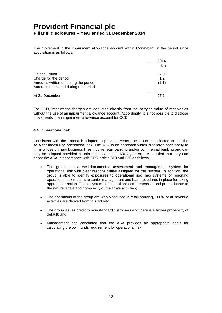The movement in the impairment allowance account within Moneybarn in the period since acquisition is as follows:

|                                       | 2014  |
|---------------------------------------|-------|
|                                       | £m    |
| On acquisition                        | 27.0  |
| Charge for the period                 | 1.2   |
| Amounts written off during the period | (1.1) |
| Amounts recovered during the period   |       |
| At 31 December                        | 271   |

For CCD, impairment charges are deducted directly from the carrying value of receivables without the use of an impairment allowance account. Accordingly, it is not possible to disclose movements in an impairment allowance account for CCD.

#### **4.4 Operational risk**

Consistent with the approach adopted in previous years, the group has elected to use the ASA for measuring operational risk. The ASA is an approach which is tailored specifically to firms whose primary business lines involve retail banking and/or commercial banking and can only be adopted provided certain criteria are met. Management are satisfied that they can adopt the ASA in accordance with CRR article 319 and 320 as follows:

- The group has a well-documented assessment and management system for operational risk with clear responsibilities assigned for this system. In addition, the group is able to identify exposures to operational risk, has systems of reporting operational risk matters to senior management and has procedures in place for taking appropriate action. These systems of control are comprehensive and proportionate to the nature, scale and complexity of the firm's activities;
- The operations of the group are wholly focused in retail banking, 100% of all revenue activities are derived from this activity;
- The group issues credit to non-standard customers and there is a higher probability of default; and
- Management has concluded that the ASA provides an appropriate basis for calculating the own funds requirement for operational risk.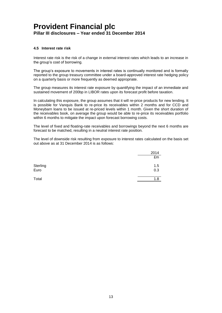#### **4.5 Interest rate risk**

Interest rate risk is the risk of a change in external interest rates which leads to an increase in the group's cost of borrowing.

The group's exposure to movements in interest rates is continually monitored and is formally reported to the group treasury committee under a board-approved interest rate hedging policy on a quarterly basis or more frequently as deemed appropriate.

The group measures its interest rate exposure by quantifying the impact of an immediate and sustained movement of 200bp in LIBOR rates upon its forecast profit before taxation.

In calculating this exposure, the group assumes that it will re-price products for new lending. It is possible for Vanquis Bank to re-price its receivables within 2 months and for CCD and Moneybarn loans to be issued at re-priced levels within 1 month. Given the short duration of the receivables book, on average the group would be able to re-price its receivables portfolio within 6 months to mitigate the impact upon forecast borrowing costs.

The level of fixed and floating-rate receivables and borrowings beyond the next 6 months are forecast to be matched, resulting in a neutral interest rate position.

The level of downside risk resulting from exposure to interest rates calculated on the basis set out above as at 31 December 2014 is as follows:

|                  | 2014       |
|------------------|------------|
|                  | £m         |
| Sterling<br>Euro | 1.5<br>0.3 |
| Total            | 1.8        |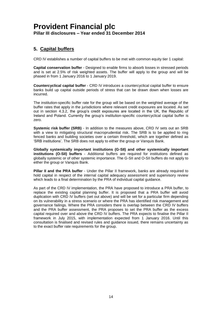### **5. Capital buffers**

CRD IV establishes a number of capital buffers to be met with common equity tier 1 capital:

**Capital conservation buffer** - Designed to enable firms to absorb losses in stressed periods and is set at 2.5% of risk weighted assets. The buffer will apply to the group and will be phased in from 1 January 2016 to 1 January 2019.

**Countercyclical capital buffer** - CRD IV introduces a countercyclical capital buffer to ensure banks build up capital outside periods of stress that can be drawn down when losses are incurred.

The institution-specific buffer rate for the group will be based on the weighted average of the buffer rates that apply in the jurisdictions where relevant credit exposures are located. As set out in section 4.3.2, the group's credit exposures are located in the UK, the Republic of Ireland and Poland. Currently the group's institution-specific countercyclical capital buffer is zero.

**Systemic risk buffer (SRB)** - In addition to the measures above, CRD IV sets out an SRB with a view to mitigating structural macroprudential risk. The SRB is to be applied to ring fenced banks and building societies over a certain threshold, which are together defined as 'SRB institutions'. The SRB does not apply to either the group or Vanquis Bank.

**Globally systemically important institutions (G-SII) and other systemically important institutions (O-SII) buffers** - Additional buffers are required for institutions defined as globally systemic or of other systemic importance. The G-SII and O-SII buffers do not apply to either the group or Vanquis Bank.

**Pillar II and the PRA buffer** - Under the Pillar II framework, banks are already required to hold capital in respect of the internal capital adequacy assessment and supervisory review which leads to a final determination by the PRA of individual capital guidance.

As part of the CRD IV implementation, the PRA have proposed to introduce a PRA buffer, to replace the existing capital planning buffer. It is proposed that a PRA buffer will avoid duplication with CRD IV buffers (set out above) and will be set for a particular firm depending on its vulnerability in a stress scenario or where the PRA has identified risk management and governance failings. Where the PRA considers there is overlap between the CRD IV buffers and the PRA buffer assessment, the PRA proposes to set the PRA buffer as the excess capital required over and above the CRD IV buffers. The PRA expects to finalise the Pillar II framework in July 2015, with implementation expected from 1 January 2016. Until this consultation is finalised and revised rules and guidance issued, there remains uncertainty as to the exact buffer rate requirements for the group.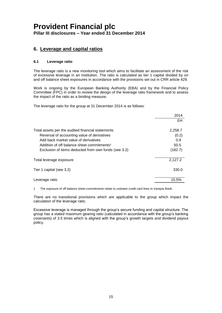### **6. Leverage and capital ratios**

#### **6.1 Leverage ratio**

The leverage ratio is a new monitoring tool which aims to facilitate an assessment of the risk of excessive leverage in an institution. The ratio is calculated as tier 1 capital divided by on and off balance sheet exposures in accordance with the provisions set out in CRR article 429.

Work is ongoing by the European Banking Authority (EBA) and by the Financial Policy Committee (FPC) in order to review the design of the leverage ratio framework and to assess the impact of the ratio as a binding measure.

The leverage ratio for the group at 31 December 2014 is as follows:

|                                                        | 2014    |
|--------------------------------------------------------|---------|
|                                                        | £m      |
|                                                        |         |
| Total assets per the audited financial statements      | 2,258.7 |
| Reversal of accounting value of derivatives            | (0.2)   |
| Add back market value of derivatives                   | 0.9     |
| Addition of off balance sheet commitments <sup>1</sup> | 50.5    |
| Exclusion of items deducted from own funds (see 3.2)   | (182.7) |
| Total leverage exposure                                | 2,127.2 |
| Tier 1 capital (see 3.2)                               | 330.0   |
|                                                        |         |
| Leverage ratio                                         | 15.5%   |

1 The exposure of off balance sheet commitments relate to undrawn credit card lines in Vanquis Bank.

There are no transitional provisions which are applicable to the group which impact the calculation of the leverage ratio.

Excessive leverage is managed through the group's secure funding and capital structure. The group has a stated maximum gearing ratio (calculated in accordance with the group's banking covenants) of 3.5 times which is aligned with the group's growth targets and dividend payout policy.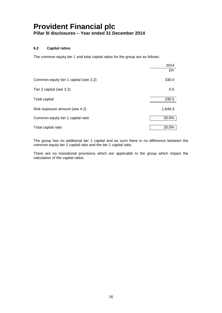#### **6.2 Capital ratios**

The common equity tier 1 and total capital ratios for the group are as follows:

|                                        | 2014    |
|----------------------------------------|---------|
|                                        | £m      |
| Common equity tier 1 capital (see 3.2) | 330.0   |
| Tier 2 capital (see 3.2)               | 0.5     |
| Total capital                          | 330.5   |
| Risk exposure amount (see 4.2)         | 1,649.3 |
| Common equity tier 1 capital ratio     | 20.0%   |
| Total capital ratio                    | 20.0%   |

The group has no additional tier 1 capital and as such there is no difference between the common equity tier 1 capital ratio and the tier 1 capital ratio.

There are no transitional provisions which are applicable to the group which impact the calculation of the capital ratios.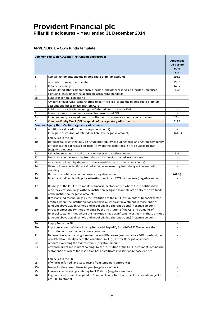#### **APPENDIX 1 – Own funds template**

|              | <b>Common Equity Tier 1 Capital: Instruments and reserves</b>                                  | <b>Amount at</b><br><b>Disclosure</b><br>Date<br><b>fm</b> |
|--------------|------------------------------------------------------------------------------------------------|------------------------------------------------------------|
| $\mathbf{1}$ | Capital instruments and the related share premium accounts                                     | 298.6                                                      |
|              | of which: Ordinary share capital                                                               | 298.6                                                      |
| 2            | Retained earnings                                                                              | 145.7                                                      |
| 3            | Accumulated other comprehensive income (and other reserves, to include unrealised              | 42.0                                                       |
|              | gains and losses under the applicable accounting standards)                                    |                                                            |
| За           | Funds for general banking risk                                                                 |                                                            |
| 4            | Amount of qualifying items referred to in Article 484 (3) and the related share premium        |                                                            |
|              | accounts subject to phase out from CET1                                                        |                                                            |
|              | Public sector capital injections grandfathered until 1 January 2018                            | $\overline{\phantom{a}}$                                   |
| 5            | Minority interests (amount allowed in consolidated CET1)                                       |                                                            |
| 5a           | Independently reviewed interim profits net of any foreseeable charge or dividend               | 26.4                                                       |
| 6            | Common Equity Tier 1 (CET1) capital before regulatory adjustments                              | 512.7                                                      |
|              | <b>Common Equity Tier 1 Capital: regulatory adjustments</b>                                    |                                                            |
| 7            | Additional value adjustments (negative amount)                                                 |                                                            |
| 8            | Intangible assets (net of related tax liability) (negative amount)                             | (141.3)                                                    |
| 9            | Empty Set in the EU                                                                            |                                                            |
| 10           | Deferred tax assets that rely on future profitability excluding those arising from temporary   |                                                            |
|              | differences (net of related tax liability where the conditions in Article 38 (3) are met)      |                                                            |
|              | (negative amount)                                                                              |                                                            |
| 11           | Fair value reserves related to gains or losses on cash flow hedges                             | 3.4                                                        |
| 12           | Negative amounts resulting from the calculation of expected loss amounts                       |                                                            |
| 13           | Any increase in equity the results from securitised assets (negative amount)                   |                                                            |
| 14           | Gains or losses on liabilities valued at fair value resulting from changes in own credit       |                                                            |
|              | standing                                                                                       |                                                            |
| 15           | Defined-benefit pension fund assets (negative amount)                                          | (44.8)                                                     |
| 16           | Direct and indirect holdings by an institution of own CET1 instruments (negative amount)       |                                                            |
| 17           | Holdings of the CET1 instruments of financial sector entities where those entities have        |                                                            |
|              | reciprocal cross holdings with the institution designed to inflate artificially the own funds  |                                                            |
|              | of the institution (negative amount)                                                           |                                                            |
| 18           | Direct and indirect holdings by the institution of the CET1 instruments of financial sector    |                                                            |
|              | entities where the institution does not have a significant investment in those entities        |                                                            |
|              | (amount above 10% threshold and net of eligible short positions) (negative amount)             |                                                            |
| 19           | Direct, indirect and synthetic holdings by the institution of the CET1 instruments of          |                                                            |
|              | financial sector entities where the institution has a significant investment in those entities |                                                            |
|              | (amount above 10% threshold and net of eligible short positions) (negative amount)             |                                                            |
| 20           | Empty Set in the EU                                                                            |                                                            |
| 20a          | Exposure amount of the following items which qualify for a RW of 1250%, where the              |                                                            |
|              | institution opts for the deduction alternative                                                 |                                                            |
| 21           | Deferred tax assets arising form temporary differences (amount above 10% threshold, net        |                                                            |
|              | of related tax liability where the conditions in 38 (3) are met) (negative amount)             |                                                            |
| 22           | Amount exceeding the 15% threshold (negative amount)                                           | $\overline{\phantom{a}}$                                   |
| 23           | of which: direct and indirect holdings by the institution of the CET1 instruments of financial |                                                            |
|              | sector entities where the institution has a significant investment in those entities           |                                                            |
| 24           | Empty Set in the EU                                                                            | $\blacksquare$                                             |
| 25           | of which: deferred tax assets arising from temporary differences                               |                                                            |
| 25a          | Losses for the current financial year (negative amount)                                        |                                                            |
| 25b          | Foreseeable tax charges relating to CET1 items (negative amount)                               | $\overline{\phantom{a}}$                                   |
| 26           | Regulatory adjustments applied to Common Equity Tier 1 in respect of amounts subject to        |                                                            |
|              | pre-CRR treatment                                                                              |                                                            |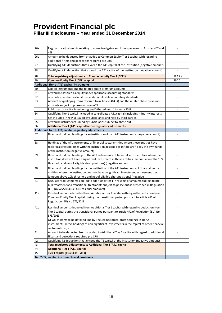| 26a | Regulatory adjustments relating to unrealised gains and losses pursuant to Articles 467 and<br>468                                       |                          |
|-----|------------------------------------------------------------------------------------------------------------------------------------------|--------------------------|
| 26b | Amount to be deducted from or added to Common Equity Tier 1 capital with regard to<br>additional filters and decoctions required pre CRR |                          |
| 27  | Qualifying AT1 deductions that exceed the AT1 capital of the institution (negative amount)                                               | $\overline{a}$           |
| 28  | Qualifying AT1 deduction that exceed the AT1 capital of the institution (negative amount)                                                |                          |
| 28  | Total regulatory adjustments to Common equity Tier 1 (CET1)                                                                              | (182.7)                  |
| 29  | <b>Common Equity Tier 1 (CET1) capital</b>                                                                                               | 330.0                    |
|     | Additional Tier 1 (AT1) capital: instruments                                                                                             |                          |
| 30  | Capital instruments and the related share premium accounts                                                                               |                          |
| 31  | of which: classified as equity under applicable accounting standards                                                                     |                          |
| 32  | of which: classified as liabilities under applicable accounting standards                                                                |                          |
| 33  | Amount of qualifying items referred to in Article 484 (4) and the related share premium                                                  |                          |
|     | accounts subject to phase out from AT1                                                                                                   |                          |
|     | Public sector capital injections grandfathered until 1 January 2018                                                                      |                          |
| 34  | Qualifying Tier 1 capital included in consolidated AT1 capital (including minority interests                                             |                          |
|     | not included in row 5) issued by subsidiaries and held by third parties                                                                  |                          |
| 35  | of which: instruments issued by subsidiaries subject to phase out                                                                        |                          |
| 36  | Additional Tier 1 (AT1) capital before regulatory adjustments                                                                            |                          |
|     | Additional Tier 1 (AT1) capital: regulatory adjustments                                                                                  |                          |
| 37  | Direct and indirect holdings by an institution of own AT1 instruments (negative amount)                                                  |                          |
| 38  | Holdings of the AT1 instruments of financial sector entities where those entities have                                                   |                          |
|     | reciprocal cross holdings with the institution designed to inflate artificially the own funds                                            |                          |
|     | of the institution (negative amount)                                                                                                     |                          |
| 39  | Direct and indirect holdings of the AT1 instruments of financial sector entities where the                                               |                          |
|     | institution does not have a significant investment in those entities (amount about the 10%                                               |                          |
|     | threshold and net of eligible short positions) (negative amount)                                                                         |                          |
| 40  | Direct and indirect holdings by the institution of the AT1 instruments of financial sector                                               |                          |
|     | entities where the institution does not have a significant investment in those entities                                                  |                          |
|     | (amount above 10% threshold and net of eligible short positions) (negative                                                               |                          |
| 41  | Regulatory adjustments applied to additional tier 1 in respect of amounts subject to pre-                                                |                          |
|     | CRR treatment and transitional treatments subject to phase out as prescribed in Regulation                                               |                          |
|     | (EU) No 575/2013 (i.e. CRR residual amounts)                                                                                             |                          |
| 41a | Residual amounts deducted from Additional Tier 1 capital with regard to deduction from                                                   |                          |
|     | Common Equity Tier 1 capital during the transitional period pursuant to article 472 of                                                   |                          |
|     | Regulation (EU) No 575/2013                                                                                                              |                          |
| 41b | Residual amounts deducted from Additional Tier 1 capital with regard to deduction from                                                   |                          |
|     | Tier 2 capital during the transitional period pursuant to article 472 of Regulation (EU) No                                              |                          |
|     | 575/2013                                                                                                                                 |                          |
|     | Of which items to be detailed line by line, eg Reciprocal cross holdings in Tier 2                                                       |                          |
|     | instruments, direct holdings of non-significant investments in the capital of other financial                                            |                          |
|     | sector entities, etc                                                                                                                     |                          |
| 41c | Amount to be deducted from or added to Additional Tier 1 capital with regard to additional                                               |                          |
|     | filters and decoctions required pre CRR                                                                                                  |                          |
| 42  | Qualifying T2 deductions that exceed the T2 capital of the institution (negative amount)                                                 | $\overline{\phantom{a}}$ |
| 43  | Total regulatory adjustments to Additional Tier 1 (AT1) capital                                                                          | $\overline{\phantom{a}}$ |
| 44  | <b>Additional Tier 1 (AT1) capital</b>                                                                                                   | $\overline{\phantom{a}}$ |
| 45  | Tier 1 capital $(T1 = CET1 + AT1)$                                                                                                       |                          |
|     | Tier 2 (T2) capital: instruments and provisions                                                                                          |                          |
|     |                                                                                                                                          |                          |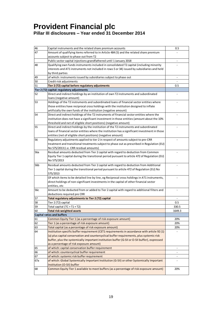| 46       | Capital instruments and the related share premium accounts                                                  | 0.5                      |
|----------|-------------------------------------------------------------------------------------------------------------|--------------------------|
| 47       | Amount of qualifying items referred to in Article 484 (5) and the related share premium                     |                          |
|          | accounts subject to phase out from T2                                                                       |                          |
|          | Public sector capital injections grandfathered until 1 January 2018                                         |                          |
| 48       | Qualifying own funds instruments included in consolidated T2 capital (including minority                    |                          |
|          | interests and AT1 instruments not included in rows 5 or 34) issued by subsidiaries and held                 |                          |
|          | by third parties                                                                                            |                          |
| 49       | of which: instruments issued by subsidiaries subject to phase out                                           | $\overline{\phantom{a}}$ |
| 50       | Credit risk adjustments                                                                                     |                          |
| 51       | Tier 2 (T2) capital before regulatory adjustments                                                           | 0.5                      |
|          | Tier 2 (T2) capital: regulatory adjustments                                                                 |                          |
| 52       | Direct and indirect holdings by an institution of own T2 instruments and subordinated                       |                          |
|          | loans (negative amount)                                                                                     |                          |
| 53       | Holdings of the T2 instruments and subordinated loans of financial sector entities where                    |                          |
|          | those entities have reciprocal cross holdings with the institution designed to inflate                      |                          |
|          | artificially the own funds of the institution (negative amount)                                             |                          |
| 54       | Direct and indirect holdings of the T2 instruments of financial sector entities where the                   |                          |
|          | institution does not have a significant investment in those entities (amount about the 10%                  |                          |
|          | threshold and net of eligible short positions) (negative amount)                                            |                          |
| 55       | Direct and indirect holdings by the institution of the T2 instruments and subordinated                      |                          |
|          | loans of financial sector entities where the institution has a significant investment in those              |                          |
|          | entities (net of eligible short positions) (negative amount)                                                |                          |
| 56       | Regulatory adjustments applied to tier 2 in respect of amounts subject to pre-CRR                           |                          |
|          | treatment and transitional treatments subject to phase out as prescribed in Regulation (EU)                 |                          |
|          | No 575/2013 (i.e. CRR residual amounts)                                                                     |                          |
| 56a      | Residual amounts deducted from Tier 2 capital with regard to deduction from Common                          |                          |
|          | Equity Tier 1 capital during the transitional period pursuant to article 472 of Regulation (EU)             |                          |
|          | No 575/2013                                                                                                 |                          |
| 56b      | Residual amounts deducted from Tier 2 capital with regard to deduction from Additional                      |                          |
|          | Tier 1 capital during the transitional period pursuant to article 472 of Regulation (EU) No                 |                          |
|          | 575/2013                                                                                                    |                          |
|          | Of which items to be detailed line by line, eg Reciprocal cross holdings in AT1 instruments,                |                          |
|          | direct holdings of non-significant investments in the capital of other financial sector                     |                          |
|          | entities, etc                                                                                               |                          |
| 56с      | Amount to be deducted from or added to Tier 2 capital with regard to additional filters and                 |                          |
|          | deductions required pre CRR                                                                                 |                          |
| 57       | Total regulatory adjustments to Tier 2 (T2) capital                                                         |                          |
| 58       | Tier 2 (T2) capital                                                                                         | 0.5                      |
| 59       | Total capital $(TC = T1 + T2)$                                                                              | 330.5                    |
| 60       | <b>Total risk weighted assets</b>                                                                           | 1649.3                   |
|          | <b>Capital ratios and buffers</b>                                                                           |                          |
| 61       | Common Equity Tier 1 (as a percentage of risk exposure amount)                                              | 20%<br>20%               |
| 62<br>63 | Tier 1 (as a percentage of risk exposure amount)<br>Total capital (as a percentage of risk exposure amount) | 20%                      |
| 64       | Institution specific buffer requirement (CET1 requirements in accordance with article 92 (1)                |                          |
|          | (a) plus capital conservation and countercyclical buffer requirements, plus systemic risk                   |                          |
|          | buffer, plus the systemically important institution buffer (G-SII or O-SII buffer), expressed               |                          |
|          | as a percentage of risk exposure amount)                                                                    |                          |
| 65       | of which: capital conservation buffer requirement                                                           |                          |
| 66       | of which: countercyclical buffer requirement                                                                |                          |
| 67       | of which: systemic risk buffer requirement                                                                  | $\overline{\phantom{m}}$ |
| 67a      | of which: Global Systemically Important Institution (G-SII) or other Systemically Important                 | $\overline{a}$           |
|          | Institution (O-SII) buffer                                                                                  |                          |
| 68       | Common Equity Tier 1 available to meet buffers (as a percentage of risk exposure amount)                    | 20%                      |
|          |                                                                                                             |                          |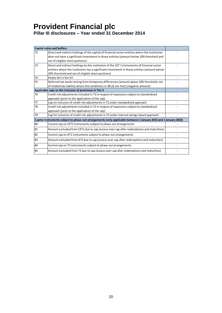|    | <b>Capital ratios and buffers</b>                                                                                 |  |
|----|-------------------------------------------------------------------------------------------------------------------|--|
| 72 | Direct and indirect holdings of the capital of financial sector entities where the institution                    |  |
|    | does not have a significant investment in those entities (amount below 10% threshold and                          |  |
|    | net of eligible short positions)                                                                                  |  |
| 73 | Direct and indirect holdings by the institution of the CET 1 instruments of financial sector                      |  |
|    | entities where the institution has a significant investment in those entities (amount below                       |  |
|    | 10% threshold and net of eligible short positions)                                                                |  |
| 74 | Empty Set in the EU                                                                                               |  |
| 75 | Deferred tax assets arising form temporary differences (amount above 10% threshold, net                           |  |
|    | of related tax liability where the conditions in 38 (3) are met) (negative amount)                                |  |
|    | Applicable caps on the inclusion of provisions in Tier 2                                                          |  |
| 76 | Credit risk adjustments included in T2 in respect of exposures subject to standardised                            |  |
|    | approach (prior to the application of the cap)                                                                    |  |
| 77 | Cap on inclusion of credit risk adjustments in T2 under standardised approach                                     |  |
| 78 | Credit risk adjustments included in T2 in respect of exposures subject to standardised                            |  |
|    | approach (prior to the application of the cap)                                                                    |  |
| 79 | Cap for inclusion of credit risk adjustments in T2 under internal ratings-based approach                          |  |
|    | Capital instruments subject to phase-out arrangements (only applicable between 1 January 2013 and 1 January 2022) |  |
| 80 | Current cap on CET1 instruments subject to phase out arrangements                                                 |  |
| 81 | Amount excluded from CET1 due to cap (excess over cap after redemptions and maturities)                           |  |
| 82 | Current cap on AT1 instruments subject to phase out arrangements                                                  |  |
| 83 | Amount excluded from AT1 due to cap (excess over cap after redemptions and maturities)                            |  |
| 84 | Current cap on T2 instruments subject to phase out arrangements                                                   |  |
| 85 | Amount excluded from T2 due to cap (excess over cap after redemptions and maturities)                             |  |